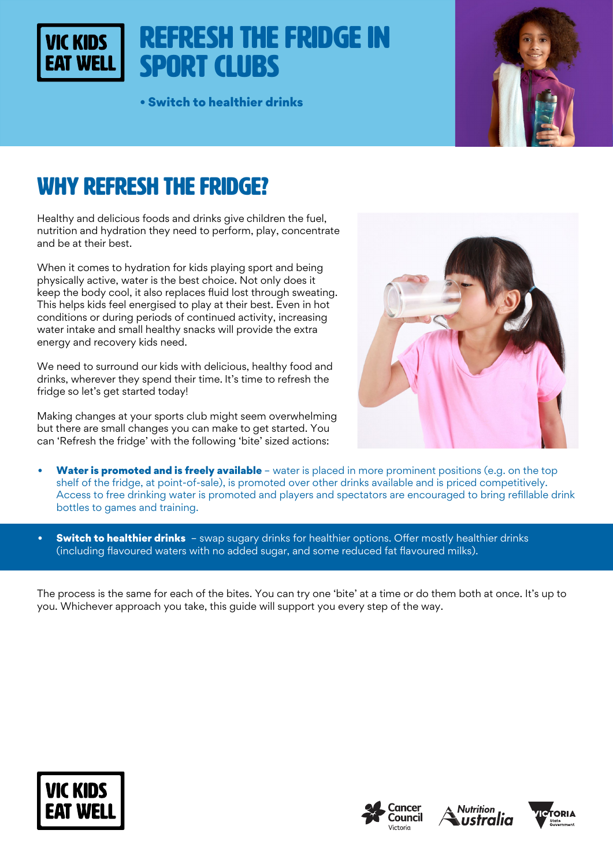### Refresh the fridge in **VIC KIDS** Sport Clubs

• Switch to healthier drinks



# WHY REFRESH THE FRIDGE?

Healthy and delicious foods and drinks give children the fuel, nutrition and hydration they need to perform, play, concentrate and be at their best.

When it comes to hydration for kids playing sport and being physically active, water is the best choice. Not only does it keep the body cool, it also replaces fluid lost through sweating. This helps kids feel energised to play at their best. Even in hot conditions or during periods of continued activity, increasing water intake and small healthy snacks will provide the extra energy and recovery kids need.

We need to surround our kids with delicious, healthy food and drinks, wherever they spend their time. It's time to refresh the fridge so let's get started today!

Making changes at your sports club might seem overwhelming but there are small changes you can make to get started. You can 'Refresh the fridge' with the following 'bite' sized actions:



- Water is promoted and is freely available water is placed in more prominent positions (e.g. on the top shelf of the fridge, at point-of-sale), is promoted over other drinks available and is priced competitively. Access to free drinking water is promoted and players and spectators are encouraged to bring refillable drink bottles to games and training.
- **Switch to healthier drinks** swap sugary drinks for healthier options. Offer mostly healthier drinks (including flavoured waters with no added sugar, and some reduced fat flavoured milks).

The process is the same for each of the bites. You can try one 'bite' at a time or do them both at once. It's up to you. Whichever approach you take, this guide will support you every step of the way.







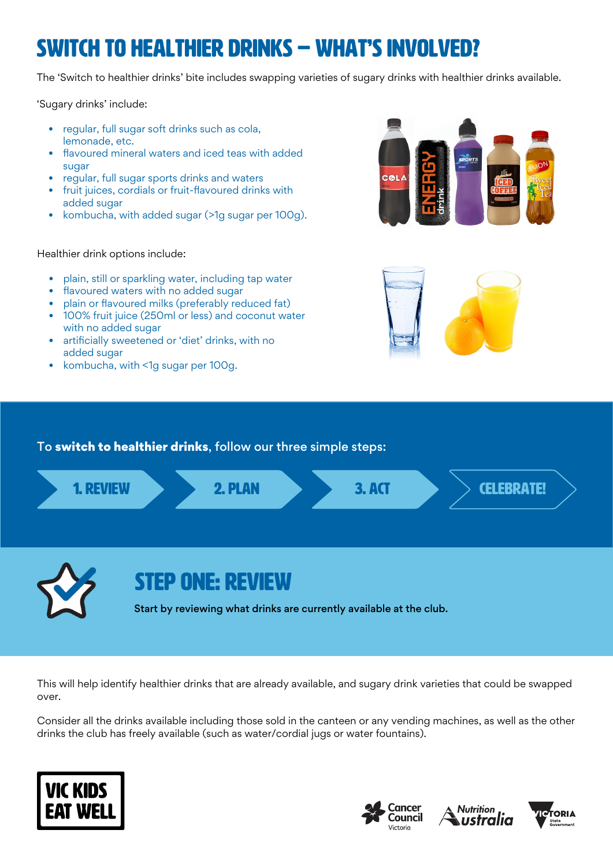# Switch to healthier drinks – WHAT'S INVOLVED?

The 'Switch to healthier drinks' bite includes swapping varieties of sugary drinks with healthier drinks available.

'Sugary drinks' include:

- regular, full sugar soft drinks such as cola, lemonade, etc.
- flavoured mineral waters and iced teas with added sugar
- regular, full sugar sports drinks and waters
- fruit juices, cordials or fruit-flavoured drinks with added sugar
- kombucha, with added sugar (>1g sugar per 100g).

### Healthier drink options include:

- plain, still or sparkling water, including tap water
- flavoured waters with no added sugar
- plain or flavoured milks (preferably reduced fat)
- 100% fruit juice (250ml or less) and coconut water with no added sugar
- artificially sweetened or 'diet' drinks, with no added sugar
- kombucha, with <1g sugar per 100g.





### To switch to healthier drinks, follow our three simple steps:



Start by reviewing what drinks are currently available at the club.

This will help identify healthier drinks that are already available, and sugary drink varieties that could be swapped over.

Consider all the drinks available including those sold in the canteen or any vending machines, as well as the other drinks the club has freely available (such as water/cordial jugs or water fountains).







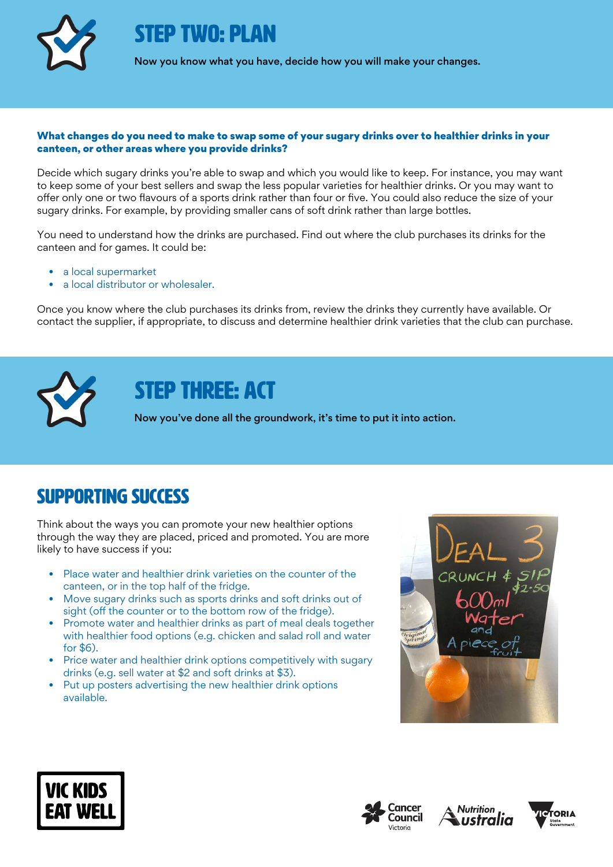

FP TWO: PI AN

Now you know what you have, decide how you will make your changes.

#### What changes do you need to make to swap some of your sugary drinks over to healthier drinks in your canteen, or other areas where you provide drinks?

Decide which sugary drinks you're able to swap and which you would like to keep. For instance, you may want to keep some of your best sellers and swap the less popular varieties for healthier drinks. Or you may want to offer only one or two flavours of a sports drink rather than four or five. You could also reduce the size of your sugary drinks. For example, by providing smaller cans of soft drink rather than large bottles.

You need to understand how the drinks are purchased. Find out where the club purchases its drinks for the canteen and for games. It could be:

- a local supermarket
- a local distributor or wholesaler.

Once you know where the club purchases its drinks from, review the drinks they currently have available. Or contact the supplier, if appropriate, to discuss and determine healthier drink varieties that the club can purchase.



STEP THREE: ACT

Now you've done all the groundwork, it's time to put it into action.

### Supporting success

Think about the ways you can promote your new healthier options through the way they are placed, priced and promoted. You are more likely to have success if you:

- Place water and healthier drink varieties on the counter of the canteen, or in the top half of the fridge.
- Move sugary drinks such as sports drinks and soft drinks out of sight (off the counter or to the bottom row of the fridge).
- Promote water and healthier drinks as part of meal deals together with healthier food options (e.g. chicken and salad roll and water for \$6).
- Price water and healthier drink options competitively with sugary drinks (e.g. sell water at \$2 and soft drinks at \$3).
- Put up posters advertising the new healthier drink options available.